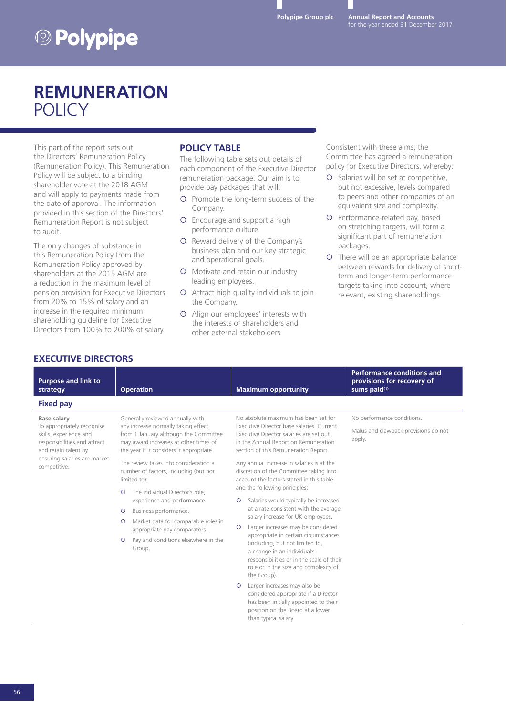**Annual Report and Accounts** for the year ended 31 December 2017

# **<sup><b>D** Polypipe</sub></sup>

### **REMUNERATION POLICY**

This part of the report sets out the Directors' Remuneration Policy (Remuneration Policy). This Remuneration Policy will be subject to a binding shareholder vote at the 2018 AGM and will apply to payments made from the date of approval. The information provided in this section of the Directors' Remuneration Report is not subject to audit.

The only changes of substance in this Remuneration Policy from the Remuneration Policy approved by shareholders at the 2015 AGM are a reduction in the maximum level of pension provision for Executive Directors from 20% to 15% of salary and an increase in the required minimum shareholding guideline for Executive Directors from 100% to 200% of salary.

#### **POLICY TABLE**

The following table sets out details of each component of the Executive Director remuneration package. Our aim is to provide pay packages that will:

- { Promote the long-term success of the Company.
- { Encourage and support a high performance culture.
- { Reward delivery of the Company's business plan and our key strategic and operational goals.
- { Motivate and retain our industry leading employees.
- { Attract high quality individuals to join the Company.
- { Align our employees' interests with the interests of shareholders and other external stakeholders.

Consistent with these aims, the Committee has agreed a remuneration policy for Executive Directors, whereby:

- { Salaries will be set at competitive, but not excessive, levels compared to peers and other companies of an equivalent size and complexity.
- { Performance-related pay, based on stretching targets, will form a significant part of remuneration packages.
- { There will be an appropriate balance between rewards for delivery of shortterm and longer-term performance targets taking into account, where relevant, existing shareholdings.

### **EXECUTIVE DIRECTORS**

| <b>Purpose and link to</b><br>strategy                                                                                                                       | <b>Operation</b>                                                                                                                                                  | <b>Maximum opportunity</b>                                                                                                                                                                                                                                                                                                                 | <b>Performance conditions and</b><br>provisions for recovery of<br>sums paid(1) |
|--------------------------------------------------------------------------------------------------------------------------------------------------------------|-------------------------------------------------------------------------------------------------------------------------------------------------------------------|--------------------------------------------------------------------------------------------------------------------------------------------------------------------------------------------------------------------------------------------------------------------------------------------------------------------------------------------|---------------------------------------------------------------------------------|
| <b>Fixed pay</b>                                                                                                                                             |                                                                                                                                                                   |                                                                                                                                                                                                                                                                                                                                            |                                                                                 |
| Base salary                                                                                                                                                  | Generally reviewed annually with                                                                                                                                  | No absolute maximum has been set for                                                                                                                                                                                                                                                                                                       | No performance conditions.                                                      |
| To appropriately recognise<br>skills, experience and<br>responsibilities and attract<br>and retain talent by<br>ensuring salaries are market<br>competitive. | any increase normally taking effect<br>from 1 January although the Committee<br>may award increases at other times of<br>the year if it considers it appropriate. | Executive Director base salaries. Current<br>Executive Director salaries are set out<br>in the Annual Report on Remuneration<br>section of this Remuneration Report.                                                                                                                                                                       | Malus and clawback provisions do not<br>apply.                                  |
|                                                                                                                                                              | The review takes into consideration a<br>number of factors, including (but not<br>limited to):                                                                    | Any annual increase in salaries is at the<br>discretion of the Committee taking into<br>account the factors stated in this table<br>and the following principles:                                                                                                                                                                          |                                                                                 |
|                                                                                                                                                              | The individual Director's role.<br>$\circ$<br>experience and performance.                                                                                         | Salaries would typically be increased<br>$\circ$                                                                                                                                                                                                                                                                                           |                                                                                 |
|                                                                                                                                                              | Business performance.<br>$\circ$                                                                                                                                  | at a rate consistent with the average<br>salary increase for UK employees.<br>Larger increases may be considered<br>$\circ$<br>appropriate in certain circumstances<br>(including, but not limited to,<br>a change in an individual's<br>responsibilities or in the scale of their<br>role or in the size and complexity of<br>the Group). |                                                                                 |
|                                                                                                                                                              | Market data for comparable roles in<br>$\circ$<br>appropriate pay comparators.                                                                                    |                                                                                                                                                                                                                                                                                                                                            |                                                                                 |
|                                                                                                                                                              | Pay and conditions elsewhere in the<br>$\circ$<br>Group.                                                                                                          |                                                                                                                                                                                                                                                                                                                                            |                                                                                 |
|                                                                                                                                                              |                                                                                                                                                                   | Larger increases may also be<br>$\circ$<br>considered appropriate if a Director<br>has been initially appointed to their                                                                                                                                                                                                                   |                                                                                 |

position on the Board at a lower

than typical salary.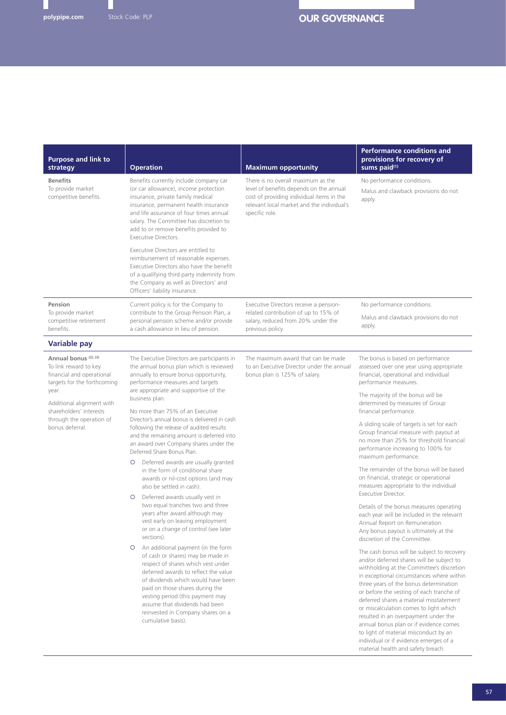| <b>Purpose and link to</b><br>strategy                                                                                | <b>Operation</b>                                                                                                                                                                                                                                                                                                                                                           | <b>Maximum opportunity</b>                                                                                                                                                                 | <b>Performance conditions and</b><br>provisions for recovery of<br>sums paid <sup>(1)</sup>                                                                                                                                                                                                                                                                                                                                                                                                                                       |
|-----------------------------------------------------------------------------------------------------------------------|----------------------------------------------------------------------------------------------------------------------------------------------------------------------------------------------------------------------------------------------------------------------------------------------------------------------------------------------------------------------------|--------------------------------------------------------------------------------------------------------------------------------------------------------------------------------------------|-----------------------------------------------------------------------------------------------------------------------------------------------------------------------------------------------------------------------------------------------------------------------------------------------------------------------------------------------------------------------------------------------------------------------------------------------------------------------------------------------------------------------------------|
| <b>Benefits</b><br>To provide market<br>competitive benefits.                                                         | Benefits currently include company car<br>(or car allowance), income protection<br>insurance, private family medical<br>insurance, permanent health insurance<br>and life assurance of four times annual<br>salary. The Committee has discretion to<br>add to or remove benefits provided to<br>Executive Directors.                                                       | There is no overall maximum as the<br>level of benefits depends on the annual<br>cost of providing individual items in the<br>relevant local market and the individual's<br>specific role. | No performance conditions.<br>Malus and clawback provisions do not<br>apply.                                                                                                                                                                                                                                                                                                                                                                                                                                                      |
|                                                                                                                       | Executive Directors are entitled to<br>reimbursement of reasonable expenses.<br>Executive Directors also have the benefit<br>of a qualifying third party indemnity from<br>the Company as well as Directors' and<br>Officers' liability insurance.                                                                                                                         |                                                                                                                                                                                            |                                                                                                                                                                                                                                                                                                                                                                                                                                                                                                                                   |
| Pension                                                                                                               | Current policy is for the Company to                                                                                                                                                                                                                                                                                                                                       | Executive Directors receive a pension-<br>related contribution of up to 15% of<br>salary, reduced from 20% under the<br>previous policy.                                                   | No performance conditions.                                                                                                                                                                                                                                                                                                                                                                                                                                                                                                        |
| To provide market<br>competitive retirement<br>benefits.                                                              | contribute to the Group Pension Plan, a<br>personal pension scheme and/or provide<br>a cash allowance in lieu of pension.                                                                                                                                                                                                                                                  |                                                                                                                                                                                            | Malus and clawback provisions do not<br>apply.                                                                                                                                                                                                                                                                                                                                                                                                                                                                                    |
| <b>Variable pay</b>                                                                                                   |                                                                                                                                                                                                                                                                                                                                                                            |                                                                                                                                                                                            |                                                                                                                                                                                                                                                                                                                                                                                                                                                                                                                                   |
| Annual bonus <sup>(2), (3)</sup><br>To link reward to key<br>financial and operational<br>targets for the forthcoming | The Executive Directors are participants in<br>the annual bonus plan which is reviewed<br>annually to ensure bonus opportunity,<br>performance measures and targets<br>are appropriate and supportive of the<br>business plan.<br>No more than 75% of an Executive                                                                                                         | The maximum award that can be made<br>to an Executive Director under the annual<br>bonus plan is 125% of salary.                                                                           | The bonus is based on performance<br>assessed over one year using appropriate<br>financial, operational and individual<br>performance measures.                                                                                                                                                                                                                                                                                                                                                                                   |
| year.<br>Additional alignment with<br>shareholders' interests                                                         |                                                                                                                                                                                                                                                                                                                                                                            |                                                                                                                                                                                            | The majority of the bonus will be<br>determined by measures of Group<br>financial performance.                                                                                                                                                                                                                                                                                                                                                                                                                                    |
| through the operation of<br>bonus deferral.                                                                           | Director's annual bonus is delivered in cash<br>following the release of audited results<br>and the remaining amount is deferred into<br>an award over Company shares under the<br>Deferred Share Bonus Plan.                                                                                                                                                              |                                                                                                                                                                                            | A sliding scale of targets is set for each<br>Group financial measure with payout at<br>no more than 25% for threshold financial<br>performance increasing to 100% for<br>maximum performance.                                                                                                                                                                                                                                                                                                                                    |
|                                                                                                                       | Deferred awards are usually granted<br>$\circ$<br>in the form of conditional share<br>awards or nil-cost options (and may<br>also be settled in cash).                                                                                                                                                                                                                     |                                                                                                                                                                                            | The remainder of the bonus will be based<br>on financial, strategic or operational<br>measures appropriate to the individual                                                                                                                                                                                                                                                                                                                                                                                                      |
|                                                                                                                       | Deferred awards usually vest in<br>$\circ$<br>two equal tranches two and three<br>years after award although may<br>vest early on leaving employment<br>or on a change of control (see later<br>sections).                                                                                                                                                                 |                                                                                                                                                                                            | <b>Executive Director.</b><br>Details of the bonus measures operating<br>each year will be included in the relevant<br>Annual Report on Remuneration.<br>Any bonus payout is ultimately at the<br>discretion of the Committee.                                                                                                                                                                                                                                                                                                    |
|                                                                                                                       | An additional payment (in the form<br>$\circ$<br>of cash or shares) may be made in<br>respect of shares which vest under<br>deferred awards to reflect the value<br>of dividends which would have been<br>paid on those shares during the<br>vesting period (this payment may<br>assume that dividends had been<br>reinvested in Company shares on a<br>cumulative basis). |                                                                                                                                                                                            | The cash bonus will be subject to recovery<br>and/or deferred shares will be subject to<br>withholding at the Committee's discretion<br>in exceptional circumstances where within<br>three years of the bonus determination<br>or before the vesting of each tranche of<br>deferred shares a material misstatement<br>or miscalculation comes to light which<br>resulted in an overpayment under the<br>annual bonus plan or if evidence comes<br>to light of material misconduct by an<br>individual or if evidence emerges of a |

material health and safety breach.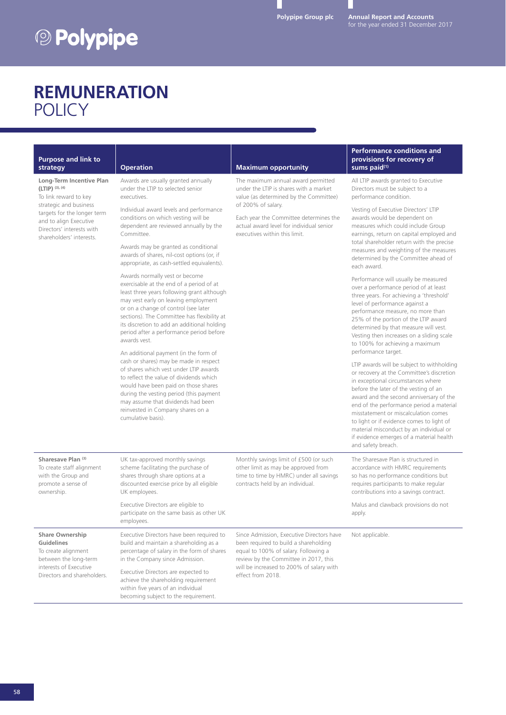# <sup>2</sup> Polypipe

**Annual Report and Accounts** for the year ended 31 December 2017

## **REMUNERATION POLICY**

| <b>Purpose and link to</b><br>strategy                                                                                                                                                                             | <b>Operation</b>                                                                                                                                                                                                                                                                                                                                                                                                                                                                                                                                                                                                                                                                                                                                                                                                                                                                                                                                                                                                                                                                                        | <b>Maximum opportunity</b>                                                                                                                                                                                                                                          | <b>Performance conditions and</b><br>provisions for recovery of<br>sums paid <sup>(1)</sup>                                                                                                                                                                                                                                                                                                                                                                                                                                                                                                                                                                                                                                                                                                                                                                                                                                                                                                                                                                                                                                                                                                                                                                             |
|--------------------------------------------------------------------------------------------------------------------------------------------------------------------------------------------------------------------|---------------------------------------------------------------------------------------------------------------------------------------------------------------------------------------------------------------------------------------------------------------------------------------------------------------------------------------------------------------------------------------------------------------------------------------------------------------------------------------------------------------------------------------------------------------------------------------------------------------------------------------------------------------------------------------------------------------------------------------------------------------------------------------------------------------------------------------------------------------------------------------------------------------------------------------------------------------------------------------------------------------------------------------------------------------------------------------------------------|---------------------------------------------------------------------------------------------------------------------------------------------------------------------------------------------------------------------------------------------------------------------|-------------------------------------------------------------------------------------------------------------------------------------------------------------------------------------------------------------------------------------------------------------------------------------------------------------------------------------------------------------------------------------------------------------------------------------------------------------------------------------------------------------------------------------------------------------------------------------------------------------------------------------------------------------------------------------------------------------------------------------------------------------------------------------------------------------------------------------------------------------------------------------------------------------------------------------------------------------------------------------------------------------------------------------------------------------------------------------------------------------------------------------------------------------------------------------------------------------------------------------------------------------------------|
| Long-Term Incentive Plan<br>$(LTIP)$ (3), (4)<br>To link reward to key<br>strategic and business<br>targets for the longer term<br>and to align Executive<br>Directors' interests with<br>shareholders' interests. | Awards are usually granted annually<br>under the LTIP to selected senior<br>executives.<br>Individual award levels and performance<br>conditions on which vesting will be<br>dependent are reviewed annually by the<br>Committee.<br>Awards may be granted as conditional<br>awards of shares, nil-cost options (or, if<br>appropriate, as cash-settled equivalents).<br>Awards normally vest or become<br>exercisable at the end of a period of at<br>least three years following grant although<br>may vest early on leaving employment<br>or on a change of control (see later<br>sections). The Committee has flexibility at<br>its discretion to add an additional holding<br>period after a performance period before<br>awards vest.<br>An additional payment (in the form of<br>cash or shares) may be made in respect<br>of shares which vest under LTIP awards<br>to reflect the value of dividends which<br>would have been paid on those shares<br>during the vesting period (this payment<br>may assume that dividends had been<br>reinvested in Company shares on a<br>cumulative basis). | The maximum annual award permitted<br>under the LTIP is shares with a market<br>value (as determined by the Committee)<br>of 200% of salary.<br>Each year the Committee determines the<br>actual award level for individual senior<br>executives within this limit. | All LTIP awards granted to Executive<br>Directors must be subject to a<br>performance condition.<br>Vesting of Executive Directors' LTIP<br>awards would be dependent on<br>measures which could include Group<br>earnings, return on capital employed and<br>total shareholder return with the precise<br>measures and weighting of the measures<br>determined by the Committee ahead of<br>each award.<br>Performance will usually be measured<br>over a performance period of at least<br>three years. For achieving a 'threshold'<br>level of performance against a<br>performance measure, no more than<br>25% of the portion of the LTIP award<br>determined by that measure will vest.<br>Vesting then increases on a sliding scale<br>to 100% for achieving a maximum<br>performance target.<br>LTIP awards will be subject to withholding<br>or recovery at the Committee's discretion<br>in exceptional circumstances where<br>before the later of the vesting of an<br>award and the second anniversary of the<br>end of the performance period a material<br>misstatement or miscalculation comes<br>to light or if evidence comes to light of<br>material misconduct by an individual or<br>if evidence emerges of a material health<br>and safety breach. |
| Sharesave Plan (3)<br>To create staff alignment<br>with the Group and<br>promote a sense of<br>ownership.                                                                                                          | UK tax-approved monthly savings<br>scheme facilitating the purchase of<br>shares through share options at a<br>discounted exercise price by all eligible<br>UK employees.<br>Executive Directors are eligible to                                                                                                                                                                                                                                                                                                                                                                                                                                                                                                                                                                                                                                                                                                                                                                                                                                                                                        | Monthly savings limit of £500 (or such<br>other limit as may be approved from<br>time to time by HMRC) under all savings<br>contracts held by an individual.                                                                                                        | The Sharesave Plan is structured in<br>accordance with HMRC requirements<br>so has no performance conditions but<br>requires participants to make regular<br>contributions into a savings contract.<br>Malus and clawback provisions do not                                                                                                                                                                                                                                                                                                                                                                                                                                                                                                                                                                                                                                                                                                                                                                                                                                                                                                                                                                                                                             |
|                                                                                                                                                                                                                    | participate on the same basis as other UK<br>employees.                                                                                                                                                                                                                                                                                                                                                                                                                                                                                                                                                                                                                                                                                                                                                                                                                                                                                                                                                                                                                                                 |                                                                                                                                                                                                                                                                     | apply.                                                                                                                                                                                                                                                                                                                                                                                                                                                                                                                                                                                                                                                                                                                                                                                                                                                                                                                                                                                                                                                                                                                                                                                                                                                                  |
| <b>Share Ownership</b><br>Guidelines<br>To create alignment<br>between the long-term<br>interests of Executive<br>Directors and shareholders.                                                                      | Executive Directors have been required to<br>build and maintain a shareholding as a<br>percentage of salary in the form of shares<br>in the Company since Admission.<br>Executive Directors are expected to<br>achieve the shareholding requirement                                                                                                                                                                                                                                                                                                                                                                                                                                                                                                                                                                                                                                                                                                                                                                                                                                                     | Since Admission, Executive Directors have<br>been required to build a shareholding<br>equal to 100% of salary. Following a<br>review by the Committee in 2017, this<br>will be increased to 200% of salary with<br>effect from 2018.                                | Not applicable.                                                                                                                                                                                                                                                                                                                                                                                                                                                                                                                                                                                                                                                                                                                                                                                                                                                                                                                                                                                                                                                                                                                                                                                                                                                         |
|                                                                                                                                                                                                                    | within five years of an individual<br>becoming subject to the requirement.                                                                                                                                                                                                                                                                                                                                                                                                                                                                                                                                                                                                                                                                                                                                                                                                                                                                                                                                                                                                                              |                                                                                                                                                                                                                                                                     |                                                                                                                                                                                                                                                                                                                                                                                                                                                                                                                                                                                                                                                                                                                                                                                                                                                                                                                                                                                                                                                                                                                                                                                                                                                                         |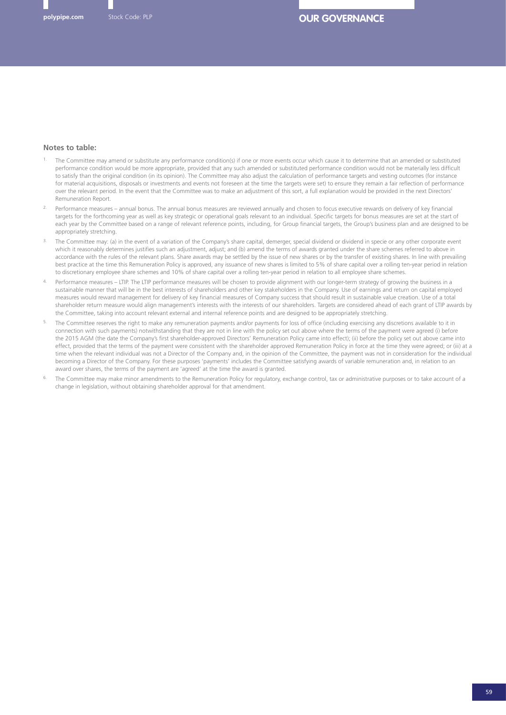#### **Notes to table:**

- 1. The Committee may amend or substitute any performance condition(s) if one or more events occur which cause it to determine that an amended or substituted performance condition would be more appropriate, provided that any such amended or substituted performance condition would not be materially less difficult to satisfy than the original condition (in its opinion). The Committee may also adjust the calculation of performance targets and vesting outcomes (for instance for material acquisitions, disposals or investments and events not foreseen at the time the targets were set) to ensure they remain a fair reflection of performance over the relevant period. In the event that the Committee was to make an adjustment of this sort, a full explanation would be provided in the next Directors' Remuneration Report.
- Performance measures annual bonus. The annual bonus measures are reviewed annually and chosen to focus executive rewards on delivery of key financial targets for the forthcoming year as well as key strategic or operational goals relevant to an individual. Specific targets for bonus measures are set at the start of each year by the Committee based on a range of relevant reference points, including, for Group financial targets, the Group's business plan and are designed to be appropriately stretching.
- 3. The Committee may: (a) in the event of a variation of the Company's share capital, demerger, special dividend or dividend in specie or any other corporate event which it reasonably determines justifies such an adjustment, adjust; and (b) amend the terms of awards granted under the share schemes referred to above in accordance with the rules of the relevant plans. Share awards may be settled by the issue of new shares or by the transfer of existing shares. In line with prevailing best practice at the time this Remuneration Policy is approved, any issuance of new shares is limited to 5% of share capital over a rolling ten-year period in relation to discretionary employee share schemes and 10% of share capital over a rolling ten-year period in relation to all employee share schemes.
- Performance measures LTIP. The LTIP performance measures will be chosen to provide alignment with our longer-term strategy of growing the business in a sustainable manner that will be in the best interests of shareholders and other key stakeholders in the Company. Use of earnings and return on capital employed measures would reward management for delivery of key financial measures of Company success that should result in sustainable value creation. Use of a total shareholder return measure would align management's interests with the interests of our shareholders. Targets are considered ahead of each grant of LTIP awards by the Committee, taking into account relevant external and internal reference points and are designed to be appropriately stretching.
- The Committee reserves the right to make any remuneration payments and/or payments for loss of office (including exercising any discretions available to it in connection with such payments) notwithstanding that they are not in line with the policy set out above where the terms of the payment were agreed (i) before the 2015 AGM (the date the Company's first shareholder-approved Directors' Remuneration Policy came into effect); (ii) before the policy set out above came into effect, provided that the terms of the payment were consistent with the shareholder approved Remuneration Policy in force at the time they were agreed; or (iii) at a time when the relevant individual was not a Director of the Company and, in the opinion of the Committee, the payment was not in consideration for the individual becoming a Director of the Company. For these purposes 'payments' includes the Committee satisfying awards of variable remuneration and, in relation to an award over shares, the terms of the payment are 'agreed' at the time the award is granted.
- The Committee may make minor amendments to the Remuneration Policy for regulatory, exchange control, tax or administrative purposes or to take account of a change in legislation, without obtaining shareholder approval for that amendment.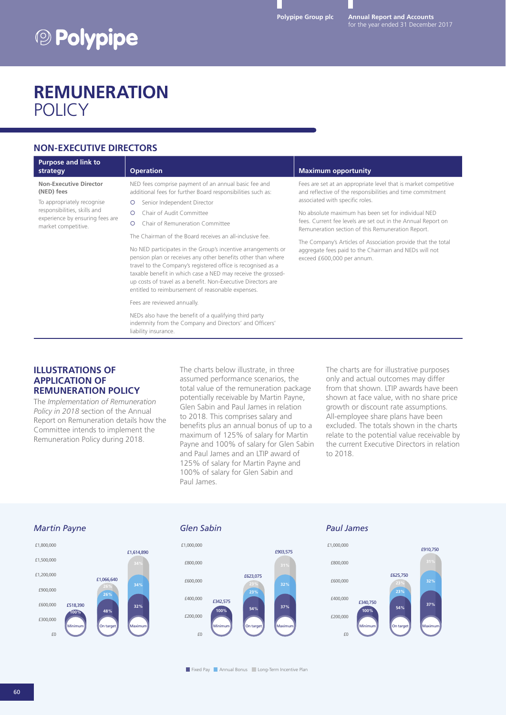# <sup>2</sup> Polypipe

**Annual Report and Accounts**

### **REMUNERATION POLICY**

### **NON-EXECUTIVE DIRECTORS**

| NED fees comprise payment of an annual basic fee and<br>Non-Executive Director<br>Fees are set at an appropriate level that is market competitive<br>(NED) fees<br>additional fees for further Board responsibilities such as:<br>and reflective of the responsibilities and time commitment<br>associated with specific roles.<br>To appropriately recognise<br>Senior Independent Director<br>responsibilities, skills and<br>No absolute maximum has been set for individual NED<br>Chair of Audit Committee<br>$\circ$<br>experience by ensuring fees are                                                                                                                                                                                                                                                                                                                                                                                                        |  |
|----------------------------------------------------------------------------------------------------------------------------------------------------------------------------------------------------------------------------------------------------------------------------------------------------------------------------------------------------------------------------------------------------------------------------------------------------------------------------------------------------------------------------------------------------------------------------------------------------------------------------------------------------------------------------------------------------------------------------------------------------------------------------------------------------------------------------------------------------------------------------------------------------------------------------------------------------------------------|--|
| fees. Current fee levels are set out in the Annual Report on<br>Chair of Remuneration Committee<br>∩<br>market competitive.<br>Remuneration section of this Remuneration Report.<br>The Chairman of the Board receives an all-inclusive fee.<br>The Company's Articles of Association provide that the total<br>No NED participates in the Group's incentive arrangements or<br>aggregate fees paid to the Chairman and NEDs will not<br>pension plan or receives any other benefits other than where<br>exceed £600,000 per annum.<br>travel to the Company's registered office is recognised as a<br>taxable benefit in which case a NED may receive the grossed-<br>up costs of travel as a benefit. Non-Executive Directors are<br>entitled to reimbursement of reasonable expenses.<br>Fees are reviewed annually.<br>NEDs also have the benefit of a qualifying third party<br>indemnity from the Company and Directors' and Officers'<br>liability insurance. |  |

#### **ILLUSTRATIONS OF APPLICATION OF REMUNERATION POLICY**

The *Implementation of Remuneration Policy in 2018* section of the Annual Report on Remuneration details how the Committee intends to implement the Remuneration Policy during 2018.

The charts below illustrate, in three assumed performance scenarios, the total value of the remuneration package potentially receivable by Martin Payne, Glen Sabin and Paul James in relation to 2018. This comprises salary and benefits plus an annual bonus of up to a maximum of 125% of salary for Martin Payne and 100% of salary for Glen Sabin and Paul James and an LTIP award of 125% of salary for Martin Payne and 100% of salary for Glen Sabin and Paul James.

The charts are for illustrative purposes only and actual outcomes may differ from that shown. LTIP awards have been shown at face value, with no share price growth or discount rate assumptions. All-employee share plans have been excluded. The totals shown in the charts relate to the potential value receivable by the current Executive Directors in relation to 2018.

#### *Martin Payne Glen Sabin Paul James*







**Fixed Pay Annual Bonus Long-Term Incentive Plan**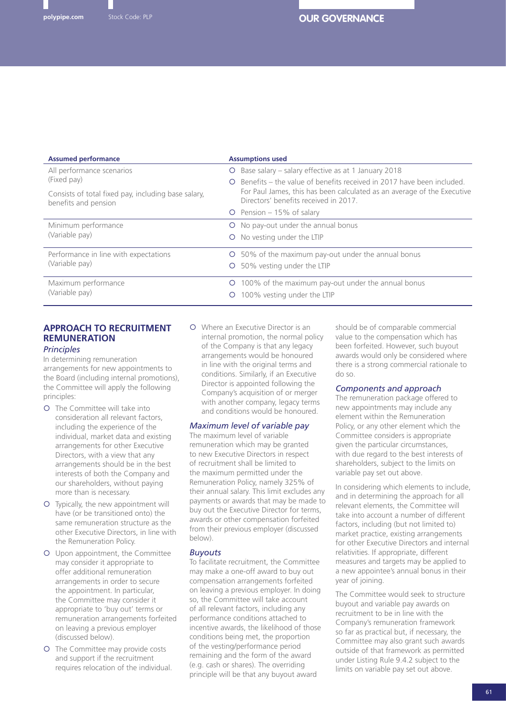| <b>Assumed performance</b>                                                                 | <b>Assumptions used</b>                                                                                                                                                                       |
|--------------------------------------------------------------------------------------------|-----------------------------------------------------------------------------------------------------------------------------------------------------------------------------------------------|
| All performance scenarios                                                                  | Base salary - salary effective as at 1 January 2018<br>$\circ$                                                                                                                                |
| (Fixed pay)<br>Consists of total fixed pay, including base salary,<br>benefits and pension | Benefits – the value of benefits received in 2017 have been included.<br>∩<br>For Paul James, this has been calculated as an average of the Executive<br>Directors' benefits received in 2017 |
|                                                                                            | $\circ$ Pension – 15% of salary                                                                                                                                                               |
| Minimum performance                                                                        | No pay-out under the annual bonus<br>$\circ$                                                                                                                                                  |
| (Variable pay)                                                                             | O No vesting under the LTIP                                                                                                                                                                   |
| Performance in line with expectations                                                      | O 50% of the maximum pay-out under the annual bonus                                                                                                                                           |
| (Variable pay)                                                                             | 50% vesting under the LTIP<br>$\circ$                                                                                                                                                         |
| Maximum performance                                                                        | 100% of the maximum pay-out under the annual bonus<br>$\circ$                                                                                                                                 |
| (Variable pay)                                                                             | 100% vesting under the LTIP<br>$\circ$                                                                                                                                                        |

#### **APPROACH TO RECRUITMENT REMUNERATION** *Principles*

In determining remuneration arrangements for new appointments to the Board (including internal promotions), the Committee will apply the following principles:

- { The Committee will take into consideration all relevant factors, including the experience of the individual, market data and existing arrangements for other Executive Directors, with a view that any arrangements should be in the best interests of both the Company and our shareholders, without paying more than is necessary.
- { Typically, the new appointment will have (or be transitioned onto) the same remuneration structure as the other Executive Directors, in line with the Remuneration Policy.
- { Upon appointment, the Committee may consider it appropriate to offer additional remuneration arrangements in order to secure the appointment. In particular, the Committee may consider it appropriate to 'buy out' terms or remuneration arrangements forfeited on leaving a previous employer (discussed below).
- { The Committee may provide costs and support if the recruitment requires relocation of the individual.

{ Where an Executive Director is an internal promotion, the normal policy of the Company is that any legacy arrangements would be honoured in line with the original terms and conditions. Similarly, if an Executive Director is appointed following the Company's acquisition of or merger with another company, legacy terms and conditions would be honoured.

#### *Maximum level of variable pay*

The maximum level of variable remuneration which may be granted to new Executive Directors in respect of recruitment shall be limited to the maximum permitted under the Remuneration Policy, namely 325% of their annual salary. This limit excludes any payments or awards that may be made to buy out the Executive Director for terms, awards or other compensation forfeited from their previous employer (discussed below).

#### *Buyouts*

To facilitate recruitment, the Committee may make a one-off award to buy out compensation arrangements forfeited on leaving a previous employer. In doing so, the Committee will take account of all relevant factors, including any performance conditions attached to incentive awards, the likelihood of those conditions being met, the proportion of the vesting/performance period remaining and the form of the award (e.g. cash or shares). The overriding principle will be that any buyout award

should be of comparable commercial value to the compensation which has been forfeited. However, such buyout awards would only be considered where there is a strong commercial rationale to do so.

#### *Components and approach*

The remuneration package offered to new appointments may include any element within the Remuneration Policy, or any other element which the Committee considers is appropriate given the particular circumstances, with due regard to the best interests of shareholders, subject to the limits on variable pay set out above.

In considering which elements to include, and in determining the approach for all relevant elements, the Committee will take into account a number of different factors, including (but not limited to) market practice, existing arrangements for other Executive Directors and internal relativities. If appropriate, different measures and targets may be applied to a new appointee's annual bonus in their year of joining.

The Committee would seek to structure buyout and variable pay awards on recruitment to be in line with the Company's remuneration framework so far as practical but, if necessary, the Committee may also grant such awards outside of that framework as permitted under Listing Rule 9.4.2 subject to the limits on variable pay set out above.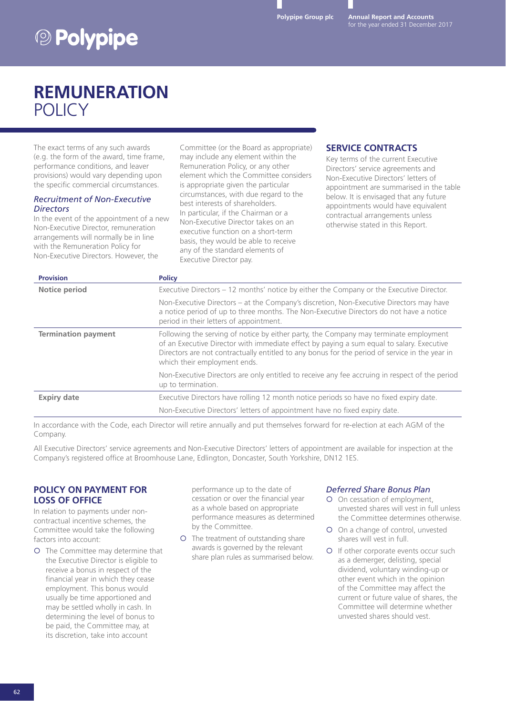**Annual Report and Accounts**

# **<sup><b>@ Polypipe**</sup>

## **REMUNERATION** POLICY

The exact terms of any such awards (e.g. the form of the award, time frame, performance conditions, and leaver provisions) would vary depending upon the specific commercial circumstances.

#### *Recruitment of Non-Executive Directors*

In the event of the appointment of a new Non-Executive Director, remuneration arrangements will normally be in line with the Remuneration Policy for Non-Executive Directors. However, the

Committee (or the Board as appropriate) may include any element within the Remuneration Policy, or any other element which the Committee considers is appropriate given the particular circumstances, with due regard to the best interests of shareholders. In particular, if the Chairman or a Non-Executive Director takes on an executive function on a short-term basis, they would be able to receive any of the standard elements of Executive Director pay.

#### **SERVICE CONTRACTS**

Key terms of the current Executive Directors' service agreements and Non-Executive Directors' letters of appointment are summarised in the table below. It is envisaged that any future appointments would have equivalent contractual arrangements unless otherwise stated in this Report.

| <b>Provision</b>           | <b>Policy</b>                                                                                                                                                                                                                                                                                                        |
|----------------------------|----------------------------------------------------------------------------------------------------------------------------------------------------------------------------------------------------------------------------------------------------------------------------------------------------------------------|
| <b>Notice period</b>       | Executive Directors – 12 months' notice by either the Company or the Executive Director.                                                                                                                                                                                                                             |
|                            | Non-Executive Directors – at the Company's discretion, Non-Executive Directors may have<br>a notice period of up to three months. The Non-Executive Directors do not have a notice<br>period in their letters of appointment.                                                                                        |
| <b>Termination payment</b> | Following the serving of notice by either party, the Company may terminate employment<br>of an Executive Director with immediate effect by paying a sum equal to salary. Executive<br>Directors are not contractually entitled to any bonus for the period of service in the year in<br>which their employment ends. |
|                            | Non-Executive Directors are only entitled to receive any fee accruing in respect of the period<br>up to termination.                                                                                                                                                                                                 |
| <b>Expiry date</b>         | Executive Directors have rolling 12 month notice periods so have no fixed expiry date.                                                                                                                                                                                                                               |
|                            | Non-Executive Directors' letters of appointment have no fixed expiry date.                                                                                                                                                                                                                                           |

In accordance with the Code, each Director will retire annually and put themselves forward for re-election at each AGM of the Company.

All Executive Directors' service agreements and Non-Executive Directors' letters of appointment are available for inspection at the Company's registered office at Broomhouse Lane, Edlington, Doncaster, South Yorkshire, DN12 1ES.

#### **POLICY ON PAYMENT FOR LOSS OF OFFICE**

In relation to payments under noncontractual incentive schemes, the Committee would take the following factors into account:

{ The Committee may determine that the Executive Director is eligible to receive a bonus in respect of the financial year in which they cease employment. This bonus would usually be time apportioned and may be settled wholly in cash. In determining the level of bonus to be paid, the Committee may, at its discretion, take into account

performance up to the date of cessation or over the financial year as a whole based on appropriate performance measures as determined by the Committee.

{ The treatment of outstanding share awards is governed by the relevant share plan rules as summarised below.

#### *Deferred Share Bonus Plan*

- { On cessation of employment, unvested shares will vest in full unless the Committee determines otherwise.
- { On a change of control, unvested shares will vest in full.
- { If other corporate events occur such as a demerger, delisting, special dividend, voluntary winding-up or other event which in the opinion of the Committee may affect the current or future value of shares, the Committee will determine whether unvested shares should vest.